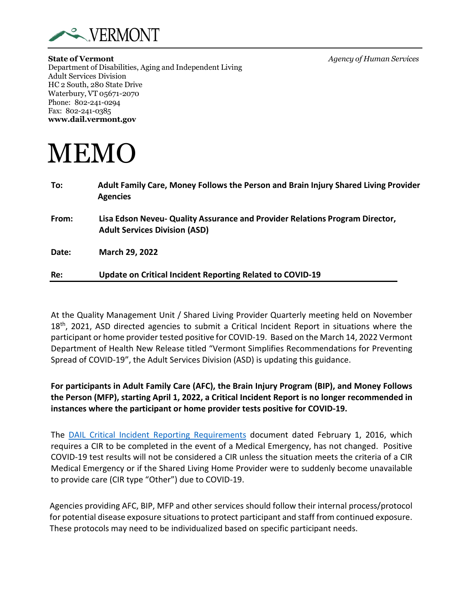

**State of Vermont** *Agency of Human Services* Department of Disabilities, Aging and Independent Living Adult Services Division HC 2 South, 280 State Drive Waterbury, VT 05671-2070 Phone: 802-241-0294 Fax: 802-241-0385 **[www.dail.vermont.gov](http://www.dail.vermont.gov/)**

## **MEMO**

| To:   | Adult Family Care, Money Follows the Person and Brain Injury Shared Living Provider<br><b>Agencies</b>               |
|-------|----------------------------------------------------------------------------------------------------------------------|
| From: | Lisa Edson Neveu- Quality Assurance and Provider Relations Program Director,<br><b>Adult Services Division (ASD)</b> |
| Date: | March 29, 2022                                                                                                       |
| Re:   | Update on Critical Incident Reporting Related to COVID-19                                                            |

At the Quality Management Unit / Shared Living Provider Quarterly meeting held on November  $18<sup>th</sup>$ , 2021, ASD directed agencies to submit a Critical Incident Report in situations where the participant or home provider tested positive for COVID-19. Based on the March 14, 2022 Vermont Department of Health New Release titled "Vermont Simplifies Recommendations for Preventing Spread of COVID-19", the Adult Services Division (ASD) is updating this guidance.

**For participants in Adult Family Care (AFC), the Brain Injury Program (BIP), and Money Follows the Person (MFP), starting April 1, 2022, a Critical Incident Report is no longer recommended in instances where the participant or home provider tests positive for COVID-19.**

The DAIL Critical [Incident Reporting Requirements](https://asd.vermont.gov/sites/asd/files/documents/Critical_Incident_Reporting_Policy.pdf) document dated February 1, 2016, which requires a CIR to be completed in the event of a Medical Emergency, has not changed. Positive COVID-19 test results will not be considered a CIR unless the situation meets the criteria of a CIR Medical Emergency or if the Shared Living Home Provider were to suddenly become unavailable to provide care (CIR type "Other") due to COVID-19.

Agencies providing AFC, BIP, MFP and other services should follow their internal process/protocol for potential disease exposure situations to protect participant and staff from continued exposure. These protocols may need to be individualized based on specific participant needs.